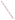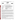## **THE ENVIRONMENTAL TECHNOLOGY VERIFICATION**







# **ETV Joint Verification Statement**

| <b>TECHNOLOGY TYPE:</b>                      | <b>ENVIRONMENTAL DECISION SUPPORT SOFTWARE</b>                                               |                                             |
|----------------------------------------------|----------------------------------------------------------------------------------------------|---------------------------------------------|
| <b>APPLICATION:</b>                          | VISUALIZATION, SAMPLE OPTIMIZATION, AND COST-<br>BENEFIT ANALYSIS OF ENVIRONMENTAL DATA SETS |                                             |
| <b>TECHNOLOGY NAME:</b>                      | <b>Environmental Visualization System Pro (EVS-PRO)</b>                                      |                                             |
| <b>COMPANY:</b>                              | <b>C</b> Tech Development Corporation                                                        |                                             |
| <b>ADDRESS:</b>                              | 16091 Santa Barbara Lane<br>Huntington Beach, CA 92649                                       | PHONE: 800-NOW-4-EVS<br>FAX: (714) 840-2778 |
| <b>WEBSITE:</b><br>$E\text{-}{M}\text{A}H$ . | www.ctech.com<br>evs-info@ctech.com                                                          |                                             |

The U.S. Environmental Protection Agency (EPA) has created the Environmental Technology Verification Program (ETV) to facilitate the deployment of innovative or improved environmental technologies through performance verification and dissemination of information. The goal of the ETV Program is to further environmental protection by substantially accelerating the acceptance and use of improved and cost-effective technologies. ETV seeks to achieve this goal by providing high-quality, peer-reviewed data on technology performance to those involved in the design, distribution, financing, permitting, purchase, and use of environmental technologies.

ETV works in partnership with recognized standards and testing organizations and stakeholder groups consisting of regulators, buyers, and vendor organizations, with the full participation of individual technology developers. The program evaluates the performance of innovative technologies by developing test plans that are responsive to the needs of stakeholders, conducting field or laboratory tests (as appropriate), collecting and analyzing data, and preparing peer-reviewed reports. All evaluations are conducted in accordance with rigorous quality assurance protocols to ensure that data of known and adequate quality are generated and that the results are defensible.

The Site Characterization and Monitoring Technologies Pilot (SCMT), one of 12 technology areas under ETV, is administered by EPA's National Exposure Research Laboratory (NERL). With the support of the U.S. Department of Energy's (DOE's) Environmental Management program, NERL selected a team from Brookhaven National Laboratory (BNL) and Oak Ridge National Laboratory (ORNL) to perform the verification of environmental decision support software. This verification statement provides a summary of the test results of a demonstration of C Tech Development Corporation's Environmental Visualization System Pro (EVS-PRO) decision support software (DSS) product.

#### **DEMONSTRATION DESCRIPTION**

In September 1998, the performance of five DSS products were evaluated at the New Mexico Engineering Research Institute, located in Albuquerque, New Mexico. In October 1998, a sixth DSS product was tested at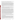BNL in Upton, New York. Each technology was independently evaluated by comparing its analysis results with measured field data and, in some cases, known analytical solutions to the problem.

Depending on the software, each was assessed for its ability to evaluate one or more of the following endpoints of environmental contamination problems: visualization, sample optimization, and cost-benefit analysis. The capabilities of the DSS were evaluated in the following areas: (1) the effectiveness of integrating data and models to produce information that supports the decision, and (2) the information and approach used to support the analysis. Secondary evaluation objectives were to examine DSS for its reliability, resource requirements, range of applicability, and ease of operation. The verification study focused on the developers' analysis of multiple test problems with different levels of complexity. Each developer analyzed a minimum of three test problems. These test problems, generated mostly from actual environmental data from six real remediation sites, were identified as Sites A, B, D, N, S, and T. The use of real data challenged the software systems because of the variability in natural systems. The technical evaluation team performed a complete baseline analysis for each problem. These results, along with the data were used as a baseline for comparison with the DSS results.

C Tech Development Corporation staff chose to use EVS-PRO to perform the visualization endpoint on selected data from each of the six sites. In addition, sample optimization was performed for the Site B, N, and S problems, making use of the geostatistical algorithms in EVS-PRO. Cost-benefit analysis (estimates of contaminated volume as a function of cleanup level) was also performed on these three problems and for the Site A cost-benefit problem and the Site D sample optimization problem.

EVS-PRO was used to generate several different types of output as appropriate to the problem under study. Output included three-dimensional (3-D) maps of the regions of contamination above specified threshold concentrations as a function of the probability of exceeding the threshold value. A scale of coordinates and surface features were included on the maps to provide a frame of reference. Where aerial photographs were provided, EVS-PRO superimposed the site maps over the photograph to improve visual understanding of the extent of the problem. For the Site A cost-benefit problem, EVS-PRO also generated an animation that provided a 3-D depiction of the extent of contamination. For the Site T groundwater contamination problem, EVS-PRO generated an animation depicting subsurface soil stratrigraphy. These animations rotated the view through 360� to provide the analyst with a more complete view of the data. For Sites B and S, C Tech also provided files generated by EVS-PRO using virtual reality modeling language (VRML) that could be viewed and navigated. Navigation permits the viewer to rotate the image to any angle to gain a better understanding of the extent of contamination. The data from Sites A, B, D, and S were used to generate a cost-benefit analysis of the volume contaminated above the specified contaminant-specific cleanup threshold as a function of probability. For the Site N sample optimization problem, EVS-PRO produced maps of uncertainty as a function of the number of samples collected. This information was used to illustrate the reduction in uncertainty obtained with increased sampling and to highlight regions of high uncertainty that may require further sampling. Several hundred visualizations were produced as part of the demonstration.

Details of the demonstration, including an evaluation of the software's performance, may be found in the report entitled *Environmental Technology Verification Report: Environmental Decision Support Software— C Tech Development Corporation, Environmental Visualization System Pro (EVS-PRO),* EPA/600/R-00/047.

### **TECHNOLOGY DESCRIPTION**

C Tech's EVS-PRO unites interpolation, geostatistical analysis, and fully 3-D visualization tools into a software system developed to address, among other things, sample optimization and cost-benefit analysis. EVS-PRO's capabilities can be used to provide 3-D maps of geologic structure, subsurface contamination, and regions containing contamination above specified threshold concentrations at a fixed probability level. EVS-PRO can also perform geostatistical analyses that optimize sample locations for site characterization and can estimate volumes and mass of contaminated media for use in cost-benefit analysis. EVS-PRO can quantify the statistical variation in the contaminant volume and mass estimates resulting from the current level of characterization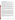#### **VERIFICATION OF PERFORMANCE**

The following performance characteristics of EVS-PRO were observed:

*Decision Support:* EVS-PRO provides decision support through 3-D visualization of environmental data such as contaminant concentration contours, quantification of uncertainties in interpolation predictions, recommendation of additional sample location to reduce uncertainties, and providing statistical information about the extent of contamination (e.g., volume contaminated as a function of probability).

*Documentation of the EVS-PRO Analysis:* For each problem, C Tech provided a detailed description of the steps necessary to import the data into EVS-PRO and perform the desired analysis. The steps proceeded logically, and manipulations to format the data into the EVS format were relatively simple. Numerous files including visualizations, input files, and output files—were provided for review.

*Comparison with Baseline Analysis and Data:* EVS-PRO produced visualizations from six different sites. All visualizations produced by EVS-PRO were consistent with the baseline data. Visualizations included 3-D representations of geologic structure, hydraulic head, concentration contours above threshold values, and uncertainty maps. The visualizations accurately incorporated surface features (maps of roads, buildings, water bodies) and aerial photographs when available. Visualizations often provided well and sample locations as a function of elevation. Sample locations were accurately color-coded to match the measured data.

Sample optimization was performed for Sites B, N, and S. The analyses for Site B and S adequately characterized the plume with an acceptable number of additional samples. For the Site N problem, in which the number of samples was limited, the software inadequately characterized the extent of contamination. EVS-PRO was used to provide cost-benefit analysis of the volume of contamination as a function of threshold concentration and probability level for Sites A, B, N, and S. Its volume estimates were often a poor match to the baseline analysis.

EVS-PRO can perform sample optimization analysis to recommend sampling locations and cost-benefit analysis of the volume of contaminated media as a function of probability. To assist the analyst, the software calculates values for the essential parameters used in these analyses based on the data. While the use of these calculated default values makes it easier for the analyst, the values were not always optimal for the sample optimization or cost-benefit analysis. For the Site N sample optimization problem, in particular, approximately a third of the site remained unsampled due to the approach used in EVS-PRO and the limit on the number of samples. For the cost-benefit problems, the estimates of contaminated volumes were often a poor match to the baseline analysis. This was especially true in estimates of volume above the threshold concentration with a low probability of exceeding the threshold. In these situations, the default parameters selected by EVS-PRO often caused predictions of contamination in regions upgradient from the main plume that did not contain data. Operator intervention to optimize model parameters would have led to better, more accurate analyses. The problems identified are a function of the operator and not the software and emphasize the need to have qualified analysts operate the software and for the analyst to examine the model outputs for consistency with the data.

*Multiple Lines of Reasoning:* EVS-PRO provides a number of different approaches to analyzing and visualizing the data, including control over essential modeling parameters. This permits multiple analyses of the data. The software generates statistical and geostatistical information about the extent of contamination, thus providing multiple evaluations to assist in data interpretation. The use of EVS-PRO to generate multiple lines of reasoning assists the analyst in conducting a thorough evaluation of the data.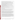In addition to performance criteria, the following secondary criteria were evaluated:

*Ease of Use:* EVS-PRO is a sophisticated software product with over 150 computational or visualization modules. The use of visual programming to link the modules makes EVS-PRO fairly easy to use. Most environmental analysts would be able to use the major features of EVS-PRO after two days of training. Advanced features such as use of the scripting language would require more training. An inconvenience of EVS-PRO is its requirement of a fixed-format data field for input files. However, this limitation has been removed in the most recent version of EVS-PRO.

*Efficiency and Range of Applicability:* EVS-PRO efficiently imported, analyzed, and visualized environmental data sets. In the demonstration, the software analyzed four complete problems (three sample optimization/cost-benefit problems and one cost-benefit problem) and two partial problems (perform visualization) with eight person-days of effort. Of these, approximately four days were spent analyzing the data and four days were spent preparing the report.

*Operator Skill Base:* For efficient use of the basic features in EVS-PRO, the operator must have knowledge about contouring environmental data sets and managing database files. To use the advanced geostatistical and statistical features, the operator should be knowledgeable in these areas.

*Platform:* During the demonstration, EVS-PRO was run on a Windows 95 operating system. The computer used for the demonstration was a Pentium II 400 with a Titan II graphics card, 128 MB of RAM, a 4 GB-hard drive, and a 20X CD-ROM.

*Training and Technical Support:* C Tech provides an extensive users' manual documenting code operation and use. Self-paced training modules are available as part of the software package. Technical support is supplied over the Internet and through e-mail. Training courses are available throughout the year.

*Cost:* For a single user EVS-PRO sells for \$9995. The EVS pricing structure depends on the product and number of licenses sold to the customer. Discounts are available to educational institutions.

*Overall Evaluation:* The main strengths of EVS-PRO are its outstanding 3-D visualization capabilities and its capability to rapidly process, analyze, and visualize data. The range of visualization output formats and their quality define EVS-PRO as a premier, state-of-the-art visualization system. Its ability to sort and query the data and write scripts to automate repetitive tasks permits EVS-PRO to examine large amounts of data and quickly generate visualizations of the data in many depiction and animation formats. EVS-PRO's objectoriented programming structure allows the many modules to be easily linked together to perform a complex analysis. EVS-PRO is a mature software program that does not have any major limitations.

A credible computer analysis of environmental problems requires good data, reliable and appropriate software, adequate conceptualization of the site, and a technically defensible problem analysis. The results of the demonstration showed that the EVS-PRO software can be used to generate reliable and useful analyses for evaluating environmental contamination problems. This is the component of a credible analysis that can be addressed by the software; other components, such as proper conceptualization and use of the code, depend on the analyst's skills. The results of an EVS-PRO analysis can support decision-making. EVS-PRO has been employed in a variety of environmental applications. Although the EVS-PRO software has been demonstrated to have the capability to produce reliable and useful analyses, improper use of the software can cause the results of the analysis to be misleading or inconsistent with the data. As with any complex environmental DSS product, the quality of the output is directly dependent on the skill of the operator.